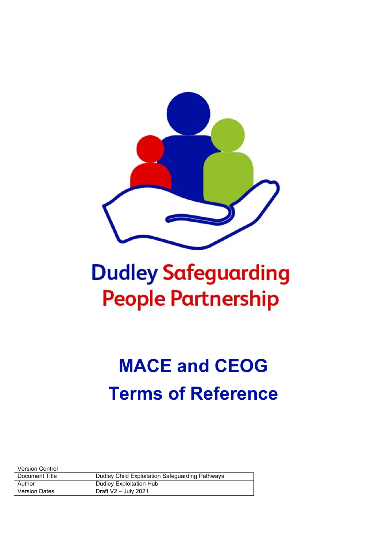

## **Dudley Safeguarding People Partnership**

# **MACE and CEOG Terms of Reference**

Version Control

| Document Title       | Dudley Child Exploitation Safeguarding Pathways |
|----------------------|-------------------------------------------------|
| Author               | Dudley Exploitation Hub                         |
| <b>Version Dates</b> | Draft $V2 -$ July 2021                          |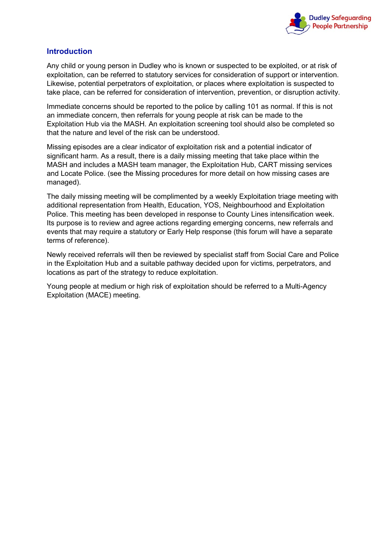

## **Introduction**

Any child or young person in Dudley who is known or suspected to be exploited, or at risk of exploitation, can be referred to statutory services for consideration of support or intervention. Likewise, potential perpetrators of exploitation, or places where exploitation is suspected to take place, can be referred for consideration of intervention, prevention, or disruption activity.

Immediate concerns should be reported to the police by calling 101 as normal. If this is not an immediate concern, then referrals for young people at risk can be made to the Exploitation Hub via the MASH. An exploitation screening tool should also be completed so that the nature and level of the risk can be understood.

Missing episodes are a clear indicator of exploitation risk and a potential indicator of significant harm. As a result, there is a daily missing meeting that take place within the MASH and includes a MASH team manager, the Exploitation Hub, CART missing services and Locate Police. (see the Missing procedures for more detail on how missing cases are managed).

The daily missing meeting will be complimented by a weekly Exploitation triage meeting with additional representation from Health, Education, YOS, Neighbourhood and Exploitation Police. This meeting has been developed in response to County Lines intensification week. Its purpose is to review and agree actions regarding emerging concerns, new referrals and events that may require a statutory or Early Help response (this forum will have a separate terms of reference).

Newly received referrals will then be reviewed by specialist staff from Social Care and Police in the Exploitation Hub and a suitable pathway decided upon for victims, perpetrators, and locations as part of the strategy to reduce exploitation.

Young people at medium or high risk of exploitation should be referred to a Multi-Agency Exploitation (MACE) meeting.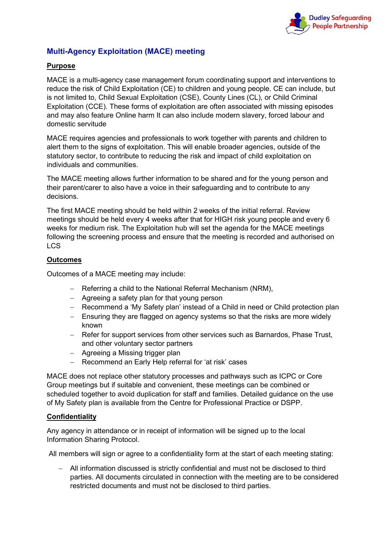

## **Multi-Agency Exploitation (MACE) meeting**

### **Purpose**

MACE is a multi-agency case management forum coordinating support and interventions to reduce the risk of Child Exploitation (CE) to children and young people. CE can include, but is not limited to, Child Sexual Exploitation (CSE), County Lines (CL), or Child Criminal Exploitation (CCE). These forms of exploitation are often associated with missing episodes and may also feature Online harm It can also include modern slavery, forced labour and domestic servitude

MACE requires agencies and professionals to work together with parents and children to alert them to the signs of exploitation. This will enable broader agencies, outside of the statutory sector, to contribute to reducing the risk and impact of child exploitation on individuals and communities.

The MACE meeting allows further information to be shared and for the young person and their parent/carer to also have a voice in their safeguarding and to contribute to any decisions.

The first MACE meeting should be held within 2 weeks of the initial referral. Review meetings should be held every 4 weeks after that for HIGH risk young people and every 6 weeks for medium risk. The Exploitation hub will set the agenda for the MACE meetings following the screening process and ensure that the meeting is recorded and authorised on LCS

#### **Outcomes**

Outcomes of a MACE meeting may include:

- − Referring a child to the National Referral Mechanism (NRM),
- − Agreeing a safety plan for that young person
- − Recommend a 'My Safety plan' instead of a Child in need or Child protection plan
- − Ensuring they are flagged on agency systems so that the risks are more widely known
- − Refer for support services from other services such as Barnardos, Phase Trust, and other voluntary sector partners
- − Agreeing a Missing trigger plan
- − Recommend an Early Help referral for 'at risk' cases

MACE does not replace other statutory processes and pathways such as ICPC or Core Group meetings but if suitable and convenient, these meetings can be combined or scheduled together to avoid duplication for staff and families. Detailed guidance on the use of My Safety plan is available from the Centre for Professional Practice or DSPP.

#### **Confidentiality**

Any agency in attendance or in receipt of information will be signed up to the local Information Sharing Protocol.

All members will sign or agree to a confidentiality form at the start of each meeting stating:

− All information discussed is strictly confidential and must not be disclosed to third parties. All documents circulated in connection with the meeting are to be considered restricted documents and must not be disclosed to third parties.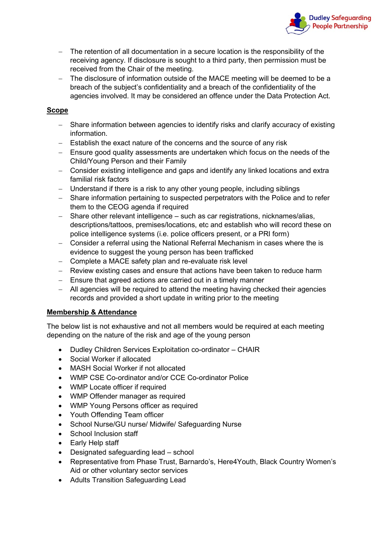

- The retention of all documentation in a secure location is the responsibility of the receiving agency. If disclosure is sought to a third party, then permission must be received from the Chair of the meeting.
- − The disclosure of information outside of the MACE meeting will be deemed to be a breach of the subject's confidentiality and a breach of the confidentiality of the agencies involved. It may be considered an offence under the Data Protection Act.

## **Scope**

- − Share information between agencies to identify risks and clarify accuracy of existing information.
- − Establish the exact nature of the concerns and the source of any risk
- − Ensure good quality assessments are undertaken which focus on the needs of the Child/Young Person and their Family
- − Consider existing intelligence and gaps and identify any linked locations and extra familial risk factors
- − Understand if there is a risk to any other young people, including siblings
- − Share information pertaining to suspected perpetrators with the Police and to refer them to the CEOG agenda if required
- − Share other relevant intelligence such as car registrations, nicknames/alias, descriptions/tattoos, premises/locations, etc and establish who will record these on police intelligence systems (i.e. police officers present, or a PRI form)
- − Consider a referral using the National Referral Mechanism in cases where the is evidence to suggest the young person has been trafficked
- − Complete a MACE safety plan and re-evaluate risk level
- − Review existing cases and ensure that actions have been taken to reduce harm
- − Ensure that agreed actions are carried out in a timely manner
- − All agencies will be required to attend the meeting having checked their agencies records and provided a short update in writing prior to the meeting

## **Membership & Attendance**

The below list is not exhaustive and not all members would be required at each meeting depending on the nature of the risk and age of the young person

- Dudley Children Services Exploitation co-ordinator CHAIR
- Social Worker if allocated
- MASH Social Worker if not allocated
- WMP CSE Co-ordinator and/or CCE Co-ordinator Police
- WMP Locate officer if required
- WMP Offender manager as required
- WMP Young Persons officer as required
- Youth Offending Team officer
- School Nurse/GU nurse/ Midwife/ Safeguarding Nurse
- School Inclusion staff
- Early Help staff
- Designated safeguarding lead school
- Representative from Phase Trust, Barnardo's, Here4Youth, Black Country Women's Aid or other voluntary sector services
- Adults Transition Safeguarding Lead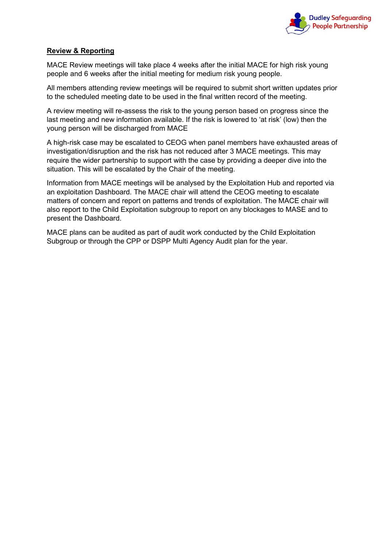

#### **Review & Reporting**

MACE Review meetings will take place 4 weeks after the initial MACE for high risk young people and 6 weeks after the initial meeting for medium risk young people.

All members attending review meetings will be required to submit short written updates prior to the scheduled meeting date to be used in the final written record of the meeting.

A review meeting will re-assess the risk to the young person based on progress since the last meeting and new information available. If the risk is lowered to 'at risk' (low) then the young person will be discharged from MACE

A high-risk case may be escalated to CEOG when panel members have exhausted areas of investigation/disruption and the risk has not reduced after 3 MACE meetings. This may require the wider partnership to support with the case by providing a deeper dive into the situation. This will be escalated by the Chair of the meeting.

Information from MACE meetings will be analysed by the Exploitation Hub and reported via an exploitation Dashboard. The MACE chair will attend the CEOG meeting to escalate matters of concern and report on patterns and trends of exploitation. The MACE chair will also report to the Child Exploitation subgroup to report on any blockages to MASE and to present the Dashboard.

MACE plans can be audited as part of audit work conducted by the Child Exploitation Subgroup or through the CPP or DSPP Multi Agency Audit plan for the year.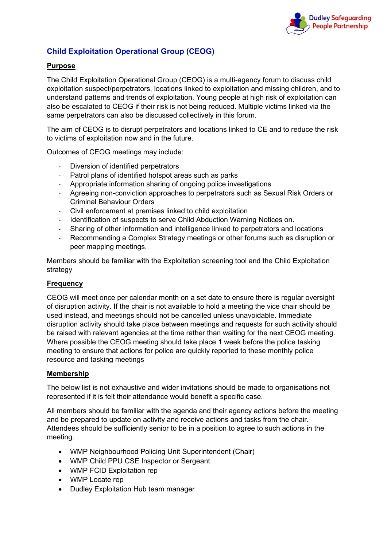

## **Child Exploitation Operational Group (CEOG)**

## **Purpose**

The Child Exploitation Operational Group (CEOG) is a multi-agency forum to discuss child exploitation suspect/perpetrators, locations linked to exploitation and missing children, and to understand patterns and trends of exploitation. Young people at high risk of exploitation can also be escalated to CEOG if their risk is not being reduced. Multiple victims linked via the same perpetrators can also be discussed collectively in this forum.

The aim of CEOG is to disrupt perpetrators and locations linked to CE and to reduce the risk to victims of exploitation now and in the future.

Outcomes of CEOG meetings may include:

- Diversion of identified perpetrators
- Patrol plans of identified hotspot areas such as parks
- Appropriate information sharing of ongoing police investigations
- Agreeing non-conviction approaches to perpetrators such as Sexual Risk Orders or Criminal Behaviour Orders
- Civil enforcement at premises linked to child exploitation
- Identification of suspects to serve Child Abduction Warning Notices on.
- Sharing of other information and intelligence linked to perpetrators and locations
- Recommending a Complex Strategy meetings or other forums such as disruption or peer mapping meetings.

Members should be familiar with the Exploitation screening tool and the Child Exploitation strategy

#### **Frequency**

CEOG will meet once per calendar month on a set date to ensure there is regular oversight of disruption activity. If the chair is not available to hold a meeting the vice chair should be used instead, and meetings should not be cancelled unless unavoidable. Immediate disruption activity should take place between meetings and requests for such activity should be raised with relevant agencies at the time rather than waiting for the next CEOG meeting. Where possible the CEOG meeting should take place 1 week before the police tasking meeting to ensure that actions for police are quickly reported to these monthly police resource and tasking meetings

#### **Membership**

The below list is not exhaustive and wider invitations should be made to organisations not represented if it is felt their attendance would benefit a specific case.

All members should be familiar with the agenda and their agency actions before the meeting and be prepared to update on activity and receive actions and tasks from the chair. Attendees should be sufficiently senior to be in a position to agree to such actions in the meeting.

- WMP Neighbourhood Policing Unit Superintendent (Chair)
- WMP Child PPU CSE Inspector or Sergeant
- WMP FCID Exploitation rep
- WMP Locate rep
- Dudley Exploitation Hub team manager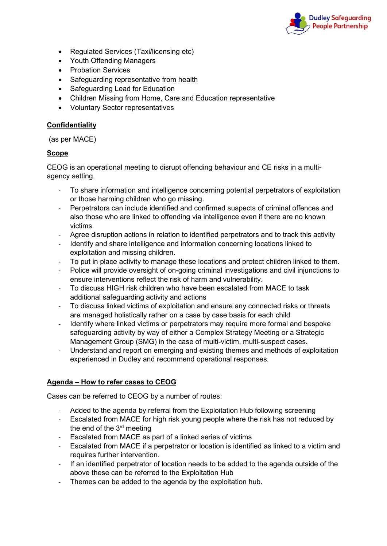

- Regulated Services (Taxi/licensing etc)
- Youth Offending Managers
- Probation Services
- Safeguarding representative from health
- Safeguarding Lead for Education
- Children Missing from Home, Care and Education representative
- Voluntary Sector representatives

### **Confidentiality**

(as per MACE)

## **Scope**

CEOG is an operational meeting to disrupt offending behaviour and CE risks in a multiagency setting.

- To share information and intelligence concerning potential perpetrators of exploitation or those harming children who go missing.
- Perpetrators can include identified and confirmed suspects of criminal offences and also those who are linked to offending via intelligence even if there are no known victims.
- Agree disruption actions in relation to identified perpetrators and to track this activity
- Identify and share intelligence and information concerning locations linked to exploitation and missing children.
- To put in place activity to manage these locations and protect children linked to them.
- Police will provide oversight of on-going criminal investigations and civil injunctions to ensure interventions reflect the risk of harm and vulnerability.
- To discuss HIGH risk children who have been escalated from MACE to task additional safeguarding activity and actions
- To discuss linked victims of exploitation and ensure any connected risks or threats are managed holistically rather on a case by case basis for each child
- Identify where linked victims or perpetrators may require more formal and bespoke safeguarding activity by way of either a Complex Strategy Meeting or a Strategic Management Group (SMG) in the case of multi-victim, multi-suspect cases.
- Understand and report on emerging and existing themes and methods of exploitation experienced in Dudley and recommend operational responses.

#### **Agenda – How to refer cases to CEOG**

Cases can be referred to CEOG by a number of routes:

- Added to the agenda by referral from the Exploitation Hub following screening
- Escalated from MACE for high risk young people where the risk has not reduced by the end of the 3rd meeting
- Escalated from MACE as part of a linked series of victims
- Escalated from MACE if a perpetrator or location is identified as linked to a victim and requires further intervention.
- If an identified perpetrator of location needs to be added to the agenda outside of the above these can be referred to the Exploitation Hub
- Themes can be added to the agenda by the exploitation hub.